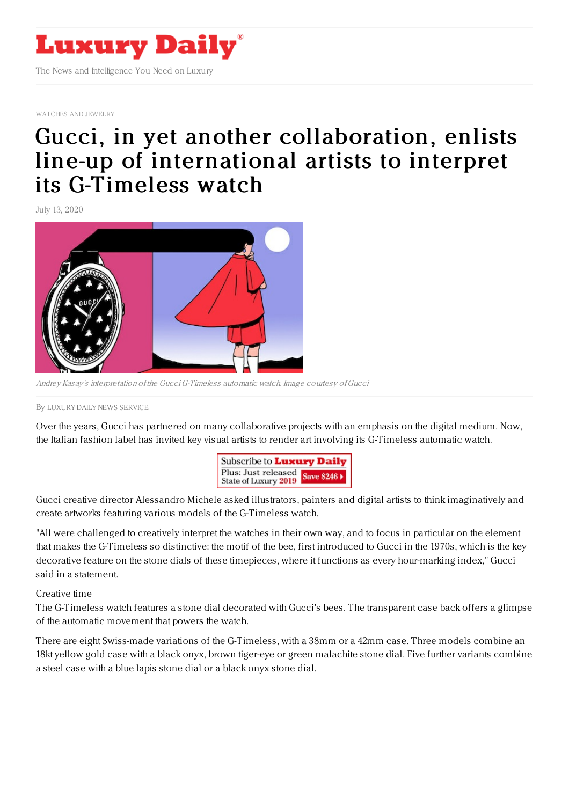

[WATCHES](https://www.luxurydaily.com/category/sectors/jewelry/) AND JEWELRY

## Gucci, in yet another [collaboration,](https://www.luxurydaily.com/gucci-in-yet-another-collaboration-enlists-line-up-of-international-artists-to-interpret-its-g-timeless-watch/) enlists line-up of international artists to interpret its G-Timeless watch

July 13, 2020



Andrey Kasay's interpretation of the GucciG-Timeless automatic watch. Image courtesy ofGucci

## By LUXURY DAILY NEWS [SERVICE](file:///author/luxury-daily-news-service)

Over the years, Gucci has partnered on many collaborative projects with an emphasis on the digital medium. Now, the Italian fashion label has invited key visual artists to render art involving its G-Timeless automatic watch.



Gucci creative director Alessandro Michele asked illustrators, painters and digital artists to think imaginatively and create artworks featuring various models of the G-Timeless watch.

"All were challenged to creatively interpret the watches in their own way, and to focus in particular on the element that makes the G-Timeless so distinctive: the motif of the bee, first introduced to Gucci in the 1970s, which is the key decorative feature on the stone dials of these timepieces, where it functions as every hour-marking index," Gucci said in a statement.

Creative time

The G-Timeless watch features a stone dial decorated with Gucci's bees. The transparent case back offers a glimpse of the automatic movement that powers the watch.

There are eight Swiss-made variations of the G-Timeless, with a 38mm or a 42mm case. Three models combine an 18kt yellow gold case with a black onyx, brown tiger-eye or green malachite stone dial. Five further variants combine a steel case with a blue lapis stone dial or a black onyx stone dial.